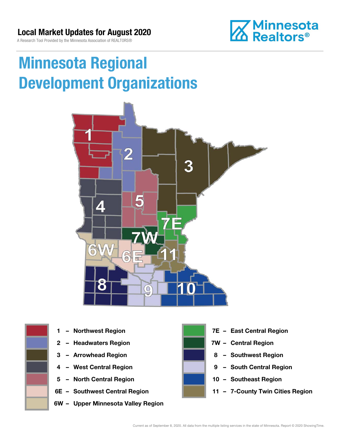A Research Tool Provided by the Minnesota Association of REALTORS®



## Minnesota Regional Development Organizations







- 
- 
- 
- 5 North Central Region 10 Southeast Region
- 
- 6W Upper Minnesota Valley Region



- 1 Northwest Region **1 1999 12 Property Contral Region**
- 2 Headwaters Region **1988 7W Central Region**
- 3 Arrowhead Region **8 Southwest Region**
- 4 West Central Region **19 South Central Region** 
	-
- 6E Southwest Central Region **11 7-County Twin Cities Region**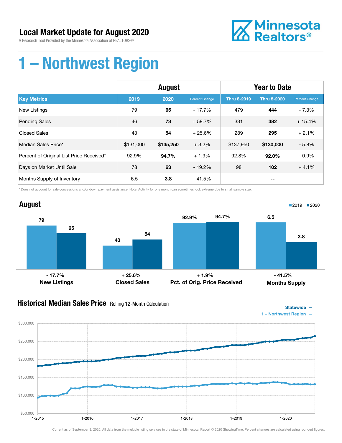A Research Tool Provided by the Minnesota Association of REALTORS®



## 1 – Northwest Region

|                                          | August    |           |                | <b>Year to Date</b> |                    |                |
|------------------------------------------|-----------|-----------|----------------|---------------------|--------------------|----------------|
| <b>Key Metrics</b>                       | 2019      | 2020      | Percent Change | <b>Thru 8-2019</b>  | <b>Thru 8-2020</b> | Percent Change |
| <b>New Listings</b>                      | 79        | 65        | $-17.7%$       | 479                 | 444                | - 7.3%         |
| <b>Pending Sales</b>                     | 46        | 73        | $+58.7%$       | 331                 | 382                | $+15.4%$       |
| <b>Closed Sales</b>                      | 43        | 54        | $+25.6%$       | 289                 | 295                | $+2.1%$        |
| Median Sales Price*                      | \$131,000 | \$135,250 | $+3.2%$        | \$137,950           | \$130,000          | $-5.8%$        |
| Percent of Original List Price Received* | 92.9%     | 94.7%     | $+1.9%$        | 92.8%               | $92.0\%$           | $-0.9%$        |
| Days on Market Until Sale                | 78        | 63        | $-19.2%$       | 98                  | 102                | $+4.1%$        |
| Months Supply of Inventory               | 6.5       | 3.8       | - 41.5%        | --                  |                    | --             |

\* Does not account for sale concessions and/or down payment assistance. Note: Activity for one month can sometimes look extreme due to small sample size.



### **Historical Median Sales Price** Rolling 12-Month Calculation



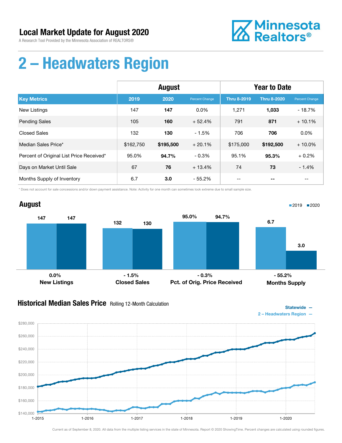

## 2 – Headwaters Region

|                                          | August    |           |                | <b>Year to Date</b> |                    |                       |
|------------------------------------------|-----------|-----------|----------------|---------------------|--------------------|-----------------------|
| <b>Key Metrics</b>                       | 2019      | 2020      | Percent Change | <b>Thru 8-2019</b>  | <b>Thru 8-2020</b> | <b>Percent Change</b> |
| New Listings                             | 147       | 147       | $0.0\%$        | 1,271               | 1,033              | $-18.7%$              |
| <b>Pending Sales</b>                     | 105       | 160       | $+52.4%$       | 791                 | 871                | $+10.1%$              |
| <b>Closed Sales</b>                      | 132       | 130       | $-1.5%$        | 706                 | 706                | 0.0%                  |
| Median Sales Price*                      | \$162,750 | \$195,500 | $+20.1%$       | \$175,000           | \$192,500          | $+10.0\%$             |
| Percent of Original List Price Received* | 95.0%     | 94.7%     | $-0.3%$        | 95.1%               | 95.3%              | $+0.2%$               |
| Days on Market Until Sale                | 67        | 76        | $+13.4%$       | 74                  | 73                 | $-1.4%$               |
| Months Supply of Inventory               | 6.7       | 3.0       | $-55.2%$       | --                  | --                 | --                    |

\* Does not account for sale concessions and/or down payment assistance. Note: Activity for one month can sometimes look extreme due to small sample size.



#### **Historical Median Sales Price** Rolling 12-Month Calculation



Statewide —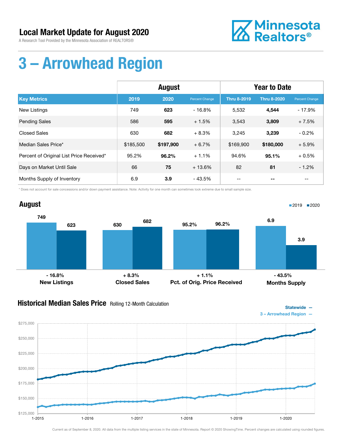A Research Tool Provided by the Minnesota Association of REALTORS®



## 3 – Arrowhead Region

|                                          | August    |           |                | <b>Year to Date</b> |                    |                          |
|------------------------------------------|-----------|-----------|----------------|---------------------|--------------------|--------------------------|
| <b>Key Metrics</b>                       | 2019      | 2020      | Percent Change | <b>Thru 8-2019</b>  | <b>Thru 8-2020</b> | Percent Change           |
| New Listings                             | 749       | 623       | $-16.8%$       | 5,532               | 4,544              | $-17.9%$                 |
| <b>Pending Sales</b>                     | 586       | 595       | $+1.5%$        | 3,543               | 3,809              | $+7.5%$                  |
| Closed Sales                             | 630       | 682       | $+8.3%$        | 3,245               | 3,239              | $-0.2%$                  |
| Median Sales Price*                      | \$185,500 | \$197,900 | $+6.7%$        | \$169,900           | \$180,000          | $+5.9%$                  |
| Percent of Original List Price Received* | 95.2%     | 96.2%     | $+1.1%$        | 94.6%               | 95.1%              | $+0.5%$                  |
| Days on Market Until Sale                | 66        | 75        | $+13.6%$       | 82                  | 81                 | $-1.2%$                  |
| Months Supply of Inventory               | 6.9       | 3.9       | $-43.5%$       | $- -$               | --                 | $\overline{\phantom{m}}$ |

\* Does not account for sale concessions and/or down payment assistance. Note: Activity for one month can sometimes look extreme due to small sample size.

#### August 749 <sup>623</sup> <sup>630</sup> <sup>682</sup> New Listings Closed Sales 95.2% 96.2% Pct. of Orig. Price Received 6.9 3.9 Months Supply ■2019 2020  $-16.8\%$  - 16.8% + 8.3% + 1.1% - 43.5%

### **Historical Median Sales Price** Rolling 12-Month Calculation



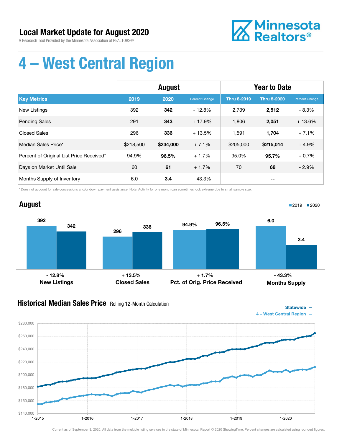A Research Tool Provided by the Minnesota Association of REALTORS®



## 4 – West Central Region

|                                          | <b>August</b> |           |                | <b>Year to Date</b> |                    |                |
|------------------------------------------|---------------|-----------|----------------|---------------------|--------------------|----------------|
| <b>Key Metrics</b>                       | 2019          | 2020      | Percent Change | <b>Thru 8-2019</b>  | <b>Thru 8-2020</b> | Percent Change |
| New Listings                             | 392           | 342       | $-12.8%$       | 2,739               | 2,512              | $-8.3%$        |
| <b>Pending Sales</b>                     | 291           | 343       | $+17.9%$       | 1,806               | 2,051              | $+13.6%$       |
| <b>Closed Sales</b>                      | 296           | 336       | $+13.5%$       | 1,591               | 1,704              | $+7.1%$        |
| Median Sales Price*                      | \$218,500     | \$234,000 | $+7.1%$        | \$205,000           | \$215,014          | $+4.9%$        |
| Percent of Original List Price Received* | 94.9%         | 96.5%     | $+1.7%$        | 95.0%               | 95.7%              | $+0.7%$        |
| Days on Market Until Sale                | 60            | 61        | $+1.7%$        | 70                  | 68                 | $-2.9%$        |
| Months Supply of Inventory               | 6.0           | 3.4       | $-43.3%$       | --                  | --                 | $- -$          |

\* Does not account for sale concessions and/or down payment assistance. Note: Activity for one month can sometimes look extreme due to small sample size.

#### August 392 296 342 336 New Listings Closed Sales 94.9% 96.5% Pct. of Orig. Price Received 6.0 3.4 Months Supply ■2019 2020  $-12.8\%$  - 12.8% + 13.5% + 1.7% + 1.7% + 43.3%

### **Historical Median Sales Price** Rolling 12-Month Calculation

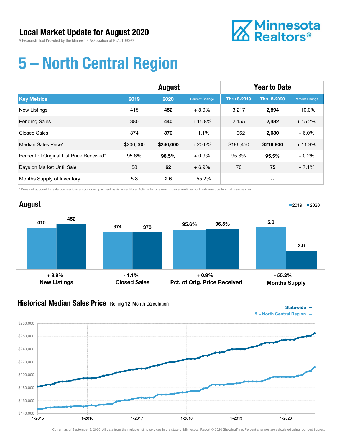

## 5 – North Central Region

|                                          | August    |           |                | <b>Year to Date</b> |                    |                |
|------------------------------------------|-----------|-----------|----------------|---------------------|--------------------|----------------|
| <b>Key Metrics</b>                       | 2019      | 2020      | Percent Change | <b>Thru 8-2019</b>  | <b>Thru 8-2020</b> | Percent Change |
| New Listings                             | 415       | 452       | $+8.9%$        | 3,217               | 2,894              | $-10.0\%$      |
| <b>Pending Sales</b>                     | 380       | 440       | $+15.8%$       | 2,155               | 2,482              | $+15.2%$       |
| <b>Closed Sales</b>                      | 374       | 370       | $-1.1%$        | 1,962               | 2,080              | $+6.0%$        |
| Median Sales Price*                      | \$200,000 | \$240,000 | $+20.0%$       | \$196.450           | \$219,900          | $+11.9%$       |
| Percent of Original List Price Received* | 95.6%     | 96.5%     | $+0.9%$        | 95.3%               | 95.5%              | $+0.2%$        |
| Days on Market Until Sale                | 58        | 62        | $+6.9%$        | 70                  | 75                 | $+7.1%$        |
| Months Supply of Inventory               | 5.8       | 2.6       | $-55.2%$       | --                  |                    | --             |

\* Does not account for sale concessions and/or down payment assistance. Note: Activity for one month can sometimes look extreme due to small sample size.

#### August 415 374 452 370 New Listings Closed Sales 95.6% 96.5% Pct. of Orig. Price Received 5.8 2.6 Months Supply ■2019 2020 + 8.9% - 1.1% + 0.9% - 55.2%

### **Historical Median Sales Price** Rolling 12-Month Calculation

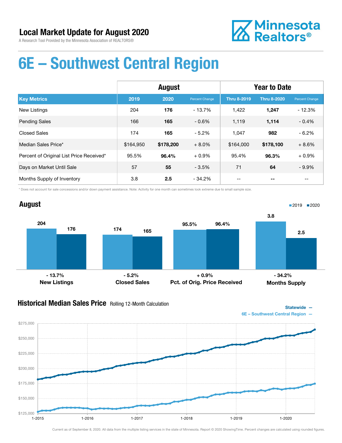

## 6E – Southwest Central Region

|                                          | <b>August</b> |           |                | <b>Year to Date</b> |                    |                |
|------------------------------------------|---------------|-----------|----------------|---------------------|--------------------|----------------|
| <b>Key Metrics</b>                       | 2019          | 2020      | Percent Change | <b>Thru 8-2019</b>  | <b>Thru 8-2020</b> | Percent Change |
| New Listings                             | 204           | 176       | $-13.7\%$      | 1,422               | 1,247              | $-12.3%$       |
| <b>Pending Sales</b>                     | 166           | 165       | $-0.6%$        | 1,119               | 1,114              | $-0.4%$        |
| <b>Closed Sales</b>                      | 174           | 165       | $-5.2%$        | 1.047               | 982                | $-6.2%$        |
| Median Sales Price*                      | \$164,950     | \$178,200 | $+8.0%$        | \$164,000           | \$178,100          | $+8.6%$        |
| Percent of Original List Price Received* | 95.5%         | 96.4%     | $+0.9%$        | 95.4%               | 96.3%              | $+0.9%$        |
| Days on Market Until Sale                | 57            | 55        | $-3.5%$        | 71                  | 64                 | $-9.9%$        |
| Months Supply of Inventory               | 3.8           | 2.5       | $-34.2\%$      |                     |                    |                |

\* Does not account for sale concessions and/or down payment assistance. Note: Activity for one month can sometimes look extreme due to small sample size.



### **Historical Median Sales Price** Rolling 12-Month Calculation

Statewide —

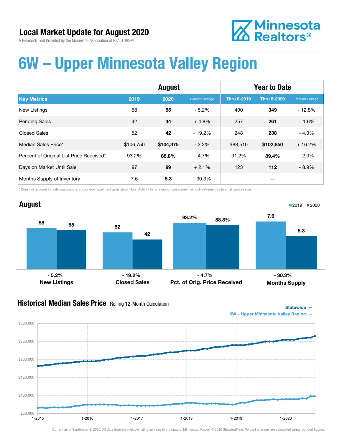# **Z** Minnesota<br>**ZA** Realtors<sup>®</sup>

## 6W – Upper Minnesota Valley Region

|                                          | <b>August</b> |           |                | <b>Year to Date</b> |                    |                |
|------------------------------------------|---------------|-----------|----------------|---------------------|--------------------|----------------|
| <b>Key Metrics</b>                       | 2019          | 2020      | Percent Change | Thru 8-2019         | <b>Thru 8-2020</b> | Percent Change |
| <b>New Listings</b>                      | 58            | 55        | $-5.2%$        | 400                 | 349                | $-12.8%$       |
| <b>Pending Sales</b>                     | 42            | 44        | $+4.8%$        | 257                 | 261                | $+1.6%$        |
| <b>Closed Sales</b>                      | 52            | 42        | $-19.2%$       | 248                 | 238                | $-4.0%$        |
| Median Sales Price*                      | \$106,750     | \$104,375 | $-2.2%$        | \$88,510            | \$102,850          | $+16.2%$       |
| Percent of Original List Price Received* | 93.2%         | 88.8%     | $-4.7%$        | 91.2%               | 89.4%              | $-2.0%$        |
| Days on Market Until Sale                | 97            | 99        | $+2.1%$        | 123                 | 112                | $-8.9\%$       |
| Months Supply of Inventory               | 7.6           | 5.3       | $-30.3%$       |                     |                    |                |

\* Does not account for sale concessions and/or down payment assistance. Note: Activity for one month can sometimes look extreme due to small sample size.



#### **Historical Median Sales Price** Rolling 12-Month Calculation



6W – Upper Minnesota Valley Region —

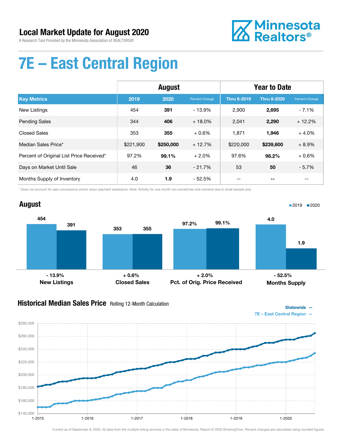A Research Tool Provided by the Minnesota Association of REALTORS®



## 7E – East Central Region

|                                          | August    |           |                | <b>Year to Date</b> |                    |                |
|------------------------------------------|-----------|-----------|----------------|---------------------|--------------------|----------------|
| <b>Key Metrics</b>                       | 2019      | 2020      | Percent Change | <b>Thru 8-2019</b>  | <b>Thru 8-2020</b> | Percent Change |
| New Listings                             | 454       | 391       | $-13.9%$       | 2.900               | 2,695              | $-7.1%$        |
| <b>Pending Sales</b>                     | 344       | 406       | $+18.0\%$      | 2,041               | 2,290              | $+12.2%$       |
| <b>Closed Sales</b>                      | 353       | 355       | $+0.6%$        | 1,871               | 1,946              | $+4.0%$        |
| Median Sales Price*                      | \$221,900 | \$250,000 | $+12.7%$       | \$220,000           | \$239,600          | $+8.9%$        |
| Percent of Original List Price Received* | 97.2%     | 99.1%     | $+2.0%$        | 97.6%               | 98.2%              | $+0.6%$        |
| Days on Market Until Sale                | 46        | 36        | $-21.7%$       | 53                  | 50                 | $-5.7%$        |
| Months Supply of Inventory               | 4.0       | 1.9       | $-52.5%$       | --                  |                    | --             |

\* Does not account for sale concessions and/or down payment assistance. Note: Activity for one month can sometimes look extreme due to small sample size.



### **Historical Median Sales Price** Rolling 12-Month Calculation

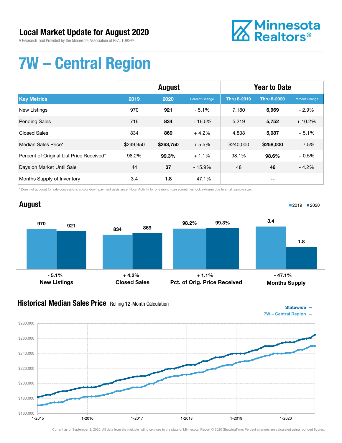A Research Tool Provided by the Minnesota Association of REALTORS®



## 7W – Central Region

|                                          | <b>August</b> |           |                | <b>Year to Date</b> |                    |                       |
|------------------------------------------|---------------|-----------|----------------|---------------------|--------------------|-----------------------|
| <b>Key Metrics</b>                       | 2019          | 2020      | Percent Change | <b>Thru 8-2019</b>  | <b>Thru 8-2020</b> | <b>Percent Change</b> |
| <b>New Listings</b>                      | 970           | 921       | $-5.1%$        | 7,180               | 6,969              | $-2.9%$               |
| <b>Pending Sales</b>                     | 716           | 834       | $+16.5%$       | 5,219               | 5,752              | $+10.2%$              |
| Closed Sales                             | 834           | 869       | $+4.2%$        | 4,838               | 5,087              | $+5.1%$               |
| Median Sales Price*                      | \$249.950     | \$263,750 | $+5.5%$        | \$240,000           | \$258,000          | $+7.5%$               |
| Percent of Original List Price Received* | 98.2%         | 99.3%     | $+1.1%$        | 98.1%               | 98.6%              | $+0.5%$               |
| Days on Market Until Sale                | 44            | 37        | $-15.9%$       | 48                  | 46                 | $-4.2%$               |
| Months Supply of Inventory               | 3.4           | 1.8       | - 47.1%        | --                  |                    | $- -$                 |

\* Does not account for sale concessions and/or down payment assistance. Note: Activity for one month can sometimes look extreme due to small sample size.

#### August 970 834 <sup>921</sup> <sup>869</sup> New Listings Closed Sales 98.2% 99.3% Pct. of Orig. Price Received 3.4 1.8 Months Supply ■2019 2020  $-5.1\%$  - 5.1% - 47.1% + 4.2% + 1.1% - 47.1% - 47.1%

### **Historical Median Sales Price** Rolling 12-Month Calculation

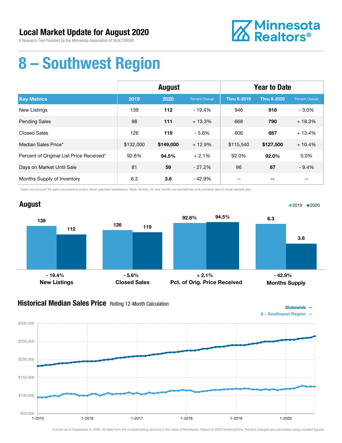A Research Tool Provided by the Minnesota Association of REALTORS®



## 8 – Southwest Region

|                                          | August    |           |                | <b>Year to Date</b> |                    |                |
|------------------------------------------|-----------|-----------|----------------|---------------------|--------------------|----------------|
| <b>Key Metrics</b>                       | 2019      | 2020      | Percent Change | <b>Thru 8-2019</b>  | <b>Thru 8-2020</b> | Percent Change |
| New Listings                             | 139       | 112       | $-19.4%$       | 946                 | 918                | $-3.0\%$       |
| <b>Pending Sales</b>                     | 98        | 111       | $+13.3%$       | 668                 | 790                | $+18.3%$       |
| <b>Closed Sales</b>                      | 126       | 119       | $-5.6%$        | 606                 | 687                | $+13.4%$       |
| Median Sales Price*                      | \$132,000 | \$149,000 | $+12.9%$       | \$115,540           | \$127,500          | $+10.4%$       |
| Percent of Original List Price Received* | 92.6%     | 94.5%     | $+2.1%$        | 92.0%               | 92.0%              | 0.0%           |
| Days on Market Until Sale                | 81        | 59        | $-27.2%$       | 96                  | 87                 | $-9.4%$        |
| Months Supply of Inventory               | 6.3       | 3.6       | $-42.9%$       | --                  |                    | $- -$          |

\* Does not account for sale concessions and/or down payment assistance. Note: Activity for one month can sometimes look extreme due to small sample size.



### **Historical Median Sales Price** Rolling 12-Month Calculation



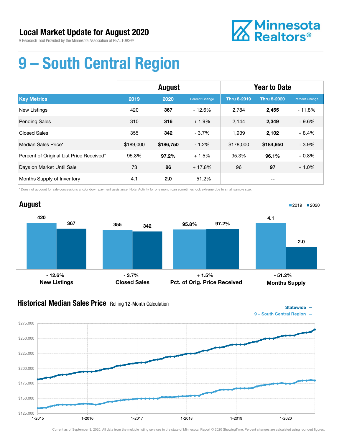

## 9 – South Central Region

|                                          | <b>August</b> |           |                | <b>Year to Date</b> |                    |                |
|------------------------------------------|---------------|-----------|----------------|---------------------|--------------------|----------------|
| <b>Key Metrics</b>                       | 2019          | 2020      | Percent Change | <b>Thru 8-2019</b>  | <b>Thru 8-2020</b> | Percent Change |
| <b>New Listings</b>                      | 420           | 367       | $-12.6%$       | 2.784               | 2,455              | $-11.8%$       |
| <b>Pending Sales</b>                     | 310           | 316       | $+1.9%$        | 2,144               | 2,349              | $+9.6%$        |
| <b>Closed Sales</b>                      | 355           | 342       | $-3.7%$        | 1,939               | 2,102              | $+8.4%$        |
| Median Sales Price*                      | \$189,000     | \$186,750 | $-1.2%$        | \$178,000           | \$184,950          | $+3.9%$        |
| Percent of Original List Price Received* | 95.8%         | $97.2\%$  | $+1.5%$        | 95.3%               | 96.1%              | $+0.8%$        |
| Days on Market Until Sale                | 73            | 86        | $+17.8%$       | 96                  | 97                 | $+1.0%$        |
| Months Supply of Inventory               | 4.1           | 2.0       | - 51.2%        | --                  |                    | --             |

\* Does not account for sale concessions and/or down payment assistance. Note: Activity for one month can sometimes look extreme due to small sample size.



### **Historical Median Sales Price** Rolling 12-Month Calculation



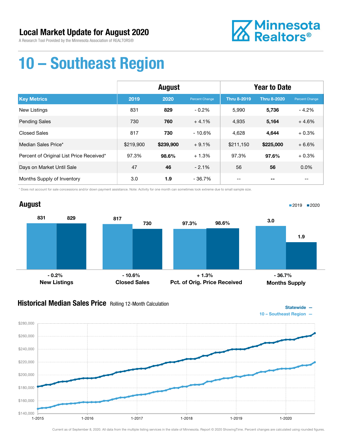A Research Tool Provided by the Minnesota Association of REALTORS®



## 10 – Southeast Region

|                                          | <b>August</b> |           |                | <b>Year to Date</b> |                    |                |
|------------------------------------------|---------------|-----------|----------------|---------------------|--------------------|----------------|
| <b>Key Metrics</b>                       | 2019          | 2020      | Percent Change | <b>Thru 8-2019</b>  | <b>Thru 8-2020</b> | Percent Change |
| New Listings                             | 831           | 829       | $-0.2%$        | 5,990               | 5,736              | $-4.2\%$       |
| <b>Pending Sales</b>                     | 730           | 760       | $+4.1%$        | 4,935               | 5,164              | $+4.6%$        |
| <b>Closed Sales</b>                      | 817           | 730       | $-10.6%$       | 4,628               | 4,644              | $+0.3%$        |
| Median Sales Price*                      | \$219,900     | \$239,900 | $+9.1%$        | \$211,150           | \$225,000          | $+6.6%$        |
| Percent of Original List Price Received* | 97.3%         | 98.6%     | $+1.3%$        | 97.3%               | 97.6%              | $+0.3%$        |
| Days on Market Until Sale                | 47            | 46        | $-2.1%$        | 56                  | 56                 | $0.0\%$        |
| Months Supply of Inventory               | 3.0           | 1.9       | - 36.7%        | --                  | --                 | $-$            |

\* Does not account for sale concessions and/or down payment assistance. Note: Activity for one month can sometimes look extreme due to small sample size.

#### August 831 829 817 730 New Listings Closed Sales 97.3% 98.6% Pct. of Orig. Price Received 3.0 1.9 Months Supply ■2019 2020 - 0.2% - 10.6% + 1.3% - 36.7%

### **Historical Median Sales Price** Rolling 12-Month Calculation